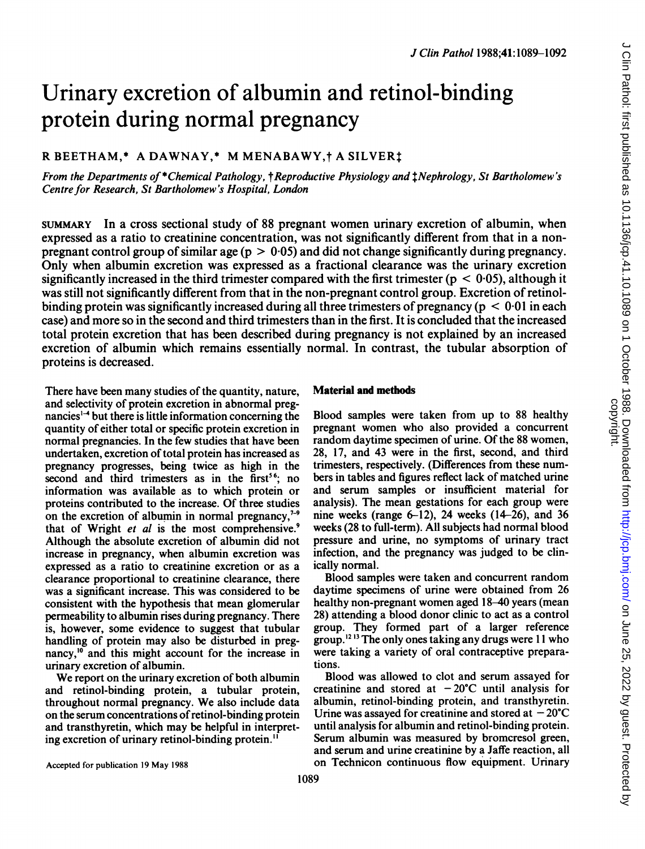# Urinary excretion of albumin and retinol-binding protein during normal pregnancy

## R BEETHAM,\* A DAWNAY,\* M MENABAWY,† A SILVER‡

From the Departments of \*Chemical Pathology, tReproductive Physiology and \$Nephrology, St Bartholomew's Centre for Research, St Bartholomew's Hospital, London

suMMARY In a cross sectional study of 88 pregnant women urinary excretion of albumin, when expressed as a ratio to creatinine concentration, was not significantly different from that in a nonpregnant control group of similar age ( $p > 0.05$ ) and did not change significantly during pregnancy. Only when albumin excretion was expressed as a fractional clearance was the urinary excretion significantly increased in the third trimester compared with the first trimester ( $p < 0.05$ ), although it was still not significantly different from that in the non-pregnant control group. Excretion of retinolbinding protein was significantly increased during all three trimesters of pregnancy ( $p < 0.01$  in each case) and more so in the second and third trimesters than in the first. It is concluded that the increased total protein excretion that has been described during pregnancy is not explained by an increased excretion of albumin which remains essentially normal. In contrast, the tubular absorption of proteins is decreased.

There have been many studies of the quantity, nature, and selectivity of protein excretion in abnormal pregnancies<sup> $-4$ </sup> but there is little information concerning the quantity of either total or specific protein excretion in normal pregnancies. In the few studies that have been undertaken, excretion of total protein has increased as pregnancy progresses, being twice as high in the second and third trimesters as in the first<sup>56</sup>; no information was available as to which protein or proteins contributed to the increase. Of three studies on the excretion of albumin in normal pregnancy, $7-9$ that of Wright et al is the most comprehensive. $9$ Although the absolute excretion of albumin did not increase in pregnancy, when albumin excretion was expressed as a ratio to creatinine excretion or as a clearance proportional to creatinine clearance, there was a significant increase. This was considered to be consistent with the hypothesis that mean glomerular permeability to albumin rises during pregnancy. There is, however, some evidence to suggest that tubular handling of protein may also be disturbed in pregnancy,<sup>10</sup> and this might account for the increase in urinary excretion of albumin.

We report on the urinary excretion of both albumin and retinol-binding protein, a tubular protein, throughout normal pregnancy. We also include data on the serum concentrations of retinol-binding protein and transthyretin, which may be helpful in interpreting excretion of urinary retinol-binding protein."

#### Material and methods

Blood samples were taken from up to 88 healthy pregnant women who also provided a concurrent random daytime specimen of urine. Of the 88 women, 28, 17, and 43 were in the first, second, and third trimesters, respectively. (Differences from these numbers in tables and figures reflect lack of matched urine and serum samples or insufficient material for analysis). The mean gestations for each group were nine weeks (range  $6-12$ ), 24 weeks (14-26), and 36 weeks (28 to full-term). All subjects had normal blood pressure and urine, no symptoms of urinary tract infection, and the pregnancy was judged to be clinically normal.

Blood samples were taken and concurrent random daytime specimens of urine were obtained from 26 healthy non-pregnant women aged 18-40 years (mean 28) attending a blood donor clinic to act as a control group. They formed part of a larger reference group.'2 <sup>13</sup> The only ones taking any drugs were <sup>11</sup> who were taking a variety of oral contraceptive preparations.

Blood was allowed to clot and serum assayed for creatinine and stored at  $-20^{\circ}$ C until analysis for albumin, retinol-binding protein, and transthyretin. Urine was assayed for creatinine and stored at  $-20^{\circ}$ C until analysis for albumin and retinol-binding protein. Serum albumin was measured by bromcresol green, and serum and urine creatinine by a Jaffe reaction, all on Technicon continuous flow equipment. Urinary

Accepted for publication <sup>19</sup> May 1988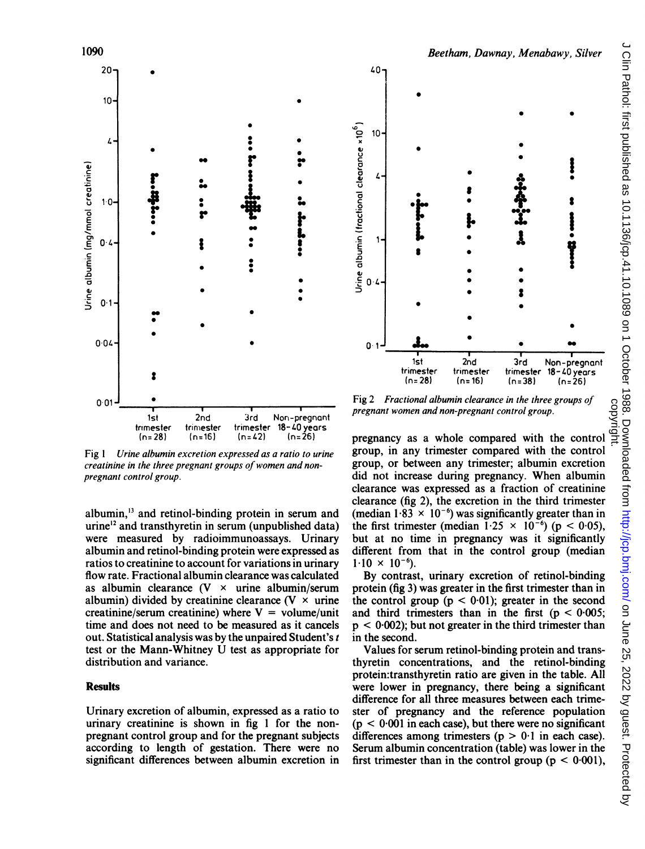

Fig <sup>1</sup> Urine albumin excretion expressed as a ratio to urine creatinine in the three pregnant groups of women and nonpregnant control group.

albumin,'3 and retinol-binding protein in serum and urine<sup>12</sup> and transthyretin in serum (unpublished data) were measured by radioimmunoassays. Urinary albumin and retinol-binding protein were expressed as ratios to creatinine to account for variations in urinary flow rate. Fractional albumin clearance was calculated as albumin clearance  $(V \times$  urine albumin/serum albumin) divided by creatinine clearance  $(V \times$  urine creatinine/serum creatinine) where  $V = volume/unit$ time and does not need to be measured as it cancels out. Statistical analysis was by the unpaired Student's <sup>t</sup> test or the Mann-Whitney U test as appropriate for distribution and variance.

## **Results**

Urinary excretion of albumin, expressed as a ratio to urinary creatinine is shown in fig <sup>1</sup> for the nonpregnant control group and for the pregnant subjects according to length of gestation. There were no significant differences between albumin excretion in



Fig 2 Fractional albumin clearance in the three groups of pregnant women and non-pregnant control group.

pregnancy as a whole compared with the control group, in any trimester compared with the control group, or between any trimester; albumin excretion did not increase during pregnancy. When albumin clearance was expressed as a fraction of creatinine clearance (fig 2), the excretion in the third trimester (median  $1.83 \times 10^{-6}$ ) was significantly greater than in the first trimester (median  $1.25 \times 10^{-6}$ ) (p < 0.05), but at no time in pregnancy was it significantly different from that in the control group (median  $1.10 \times 10^{-6}$ ).

By contrast, urinary excretion of retinol-binding protein (fig 3) was greater in the first trimester than in the control group ( $p < 0.01$ ); greater in the second and third trimesters than in the first  $(p < 0.005$ ;  $p < 0.002$ ; but not greater in the third trimester than in the second.

Values for serum retinol-binding protein and transthyretin concentrations, and the retinol-binding protein:transthyretin ratio are given in the table. All were lower in pregnancy, there being a significant difference for all three measures between each trimester of pregnancy and the reference population  $(p < 0.001$  in each case), but there were no significant differences among trimesters ( $p > 0.1$  in each case). Serum albumin concentration (table) was lower in the first trimester than in the control group ( $p < 0.001$ ),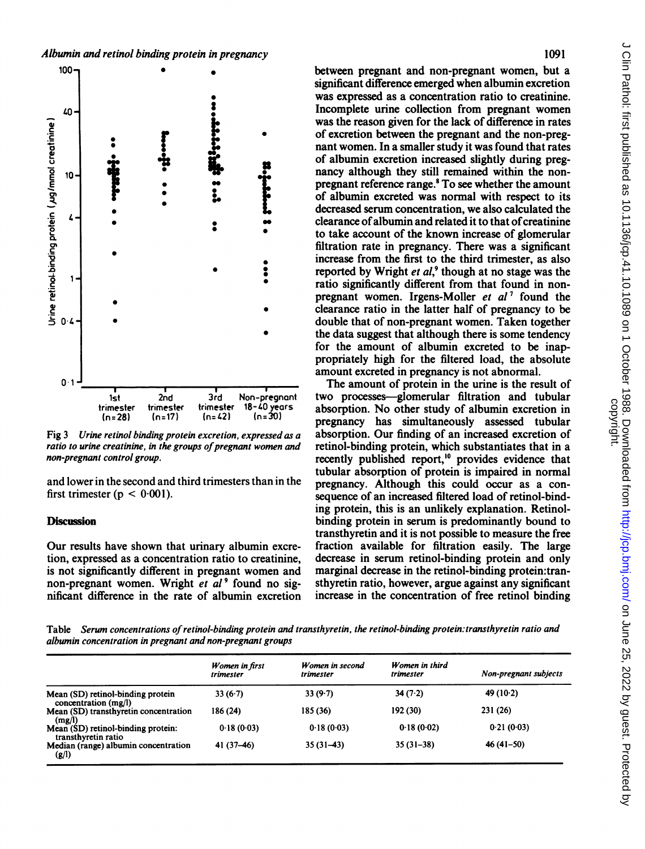

Fig 3 Urine retinol binding protein excretion, expressed as a ratio to urine creatinine, in the groups of pregnant women and non-pregnant control group.

and lower in the second and third trimesters than in the first trimester ( $p < 0.001$ ).

### **Discussion**

Our results have shown that urinary albumin excretion, expressed as a concentration ratio to creatinine, is not significantly different in pregnant women and non-pregnant women. Wright et  $al<sup>9</sup>$  found no significant difference in the rate of albumin excretion between pregnant and non-pregnant women, but a significant difference emerged when albumin excretion was expressed as a concentration ratio to creatinine. Incomplete urine collection from pregnant women was the reason given for the lack of difference in rates of excretion between the pregnant and the non-pregnant women. In a smaller study it was found that rates of albumin excretion increased slightly during pregnancy although they still remained within the nonpregnant reference range.8 To see whether the amount of albumin excreted was normal with respect to its decreased serum concentration, we also calculated the clearance of albumin and related it to that of creatinine to take account of the known increase of glomerular filtration rate in pregnancy. There was a significant increase from the first to the third trimester, as also reported by Wright *et al*,<sup>9</sup> though at no stage was the ratio significantly different from that found in nonpregnant women. Irgens-Moller et al' found the clearance ratio in the latter half of pregnancy to be double that of non-pregnant women. Taken together the data suggest that although there is some tendency for the amount of albumin excreted to be inappropriately high for the filtered load, the absolute amount excreted in pregnancy is not abnormal.

The amount of protein in the urine is the result of two processes-glomerular filtration and tubular absorption. No other study of albumin excretion in pregnancy has simultaneously assessed tubular absorption. Our finding of an increased excretion of retinol-binding protein, which substantiates that in a recently published report,<sup>10</sup> provides evidence that tubular absorption of protein is impaired in normal pregnancy. Although this could occur as a consequence of an increased filtered load of retinol-binding protein, this is an unlikely explanation. Retinolbinding protein in serum is predominantly bound to transthyretin and it is not possible to measure the free fraction available for filtration easily. The large decrease in serum retinol-binding protein and only marginal decrease in the retinol-binding protein:transthyretin ratio, however, argue against any significant increase in the concentration of free retinol binding

Table Serum concentrations ofretinol-binding protein and transthyretin, the retinol-binding protein:transthyretin ratio and albwnin concentration in pregnant and non-pregnant groups

|                                                           | Women in first<br>trimester | Women in second<br>trimester | Women in third<br>trimester | Non-pregnant subjects |
|-----------------------------------------------------------|-----------------------------|------------------------------|-----------------------------|-----------------------|
| Mean (SD) retinol-binding protein<br>concentration (mg/l) | $33(6-7)$                   | 33(9.7)                      | 34(7.2)                     | 49(10.2)              |
| Mean (SD) transthyretin concentration<br>(mg/l)           | 186 (24)                    | 185 (36)                     | 192 (30)                    | 231 (26)              |
| Mean (SD) retinol-binding protein:<br>transthyretin ratio | 0.18(0.03)                  | 0.18(0.03)                   | 0.18(0.02)                  | 0.21(0.03)            |
| Median (range) albumin concentration<br>(g/l)             | 41 (37-46)                  | $35(31-43)$                  | $35(31-38)$                 | $46(41-50)$           |